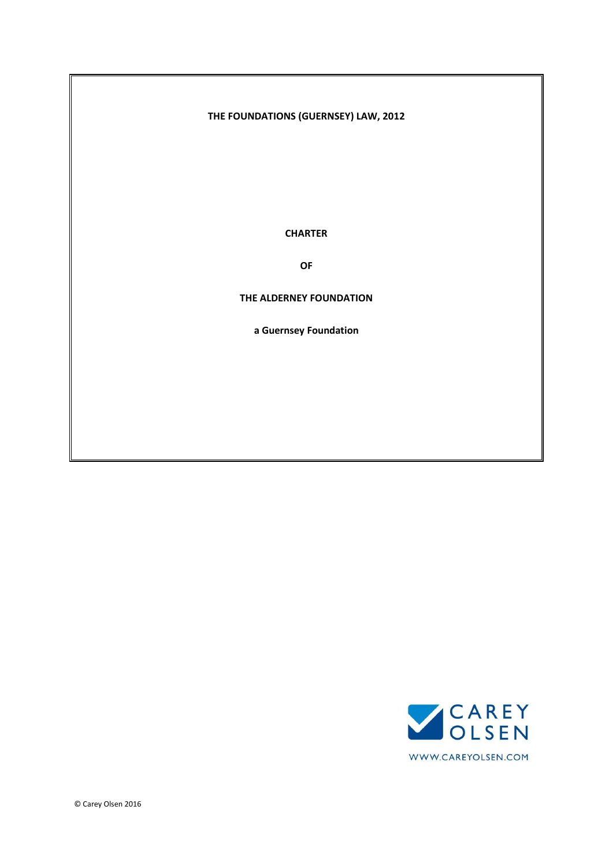# **THE FOUNDATIONS (GUERNSEY) LAW, 2012**

**CHARTER**

**OF**

#### **THE ALDERNEY FOUNDATION**

**a Guernsey Foundation**

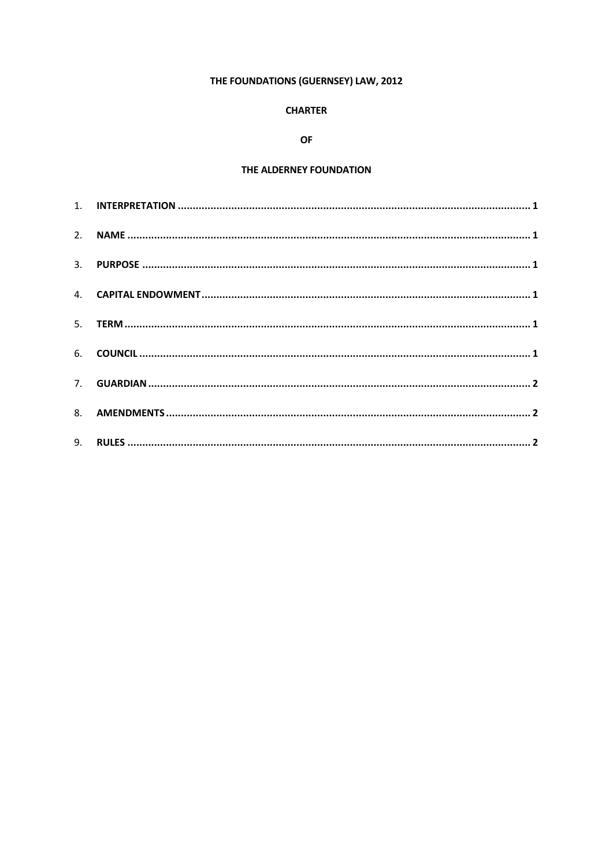# THE FOUNDATIONS (GUERNSEY) LAW, 2012

# **CHARTER**

# **OF**

# THE ALDERNEY FOUNDATION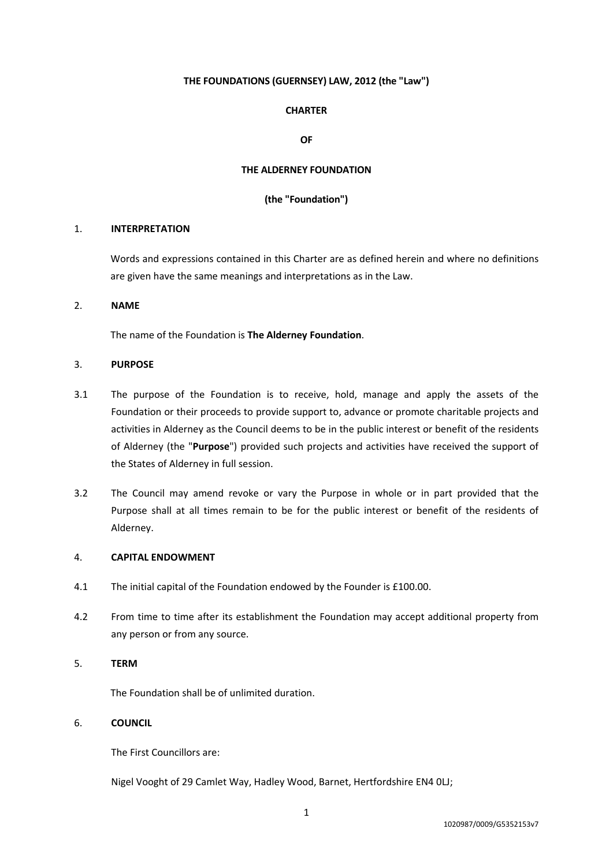## **THE FOUNDATIONS (GUERNSEY) LAW, 2012 (the "Law")**

# **CHARTER**

### **OF**

### **THE ALDERNEY FOUNDATION**

### **(the "Foundation")**

#### 1. **INTERPRETATION**

Words and expressions contained in this Charter are as defined herein and where no definitions are given have the same meanings and interpretations as in the Law.

# 2. **NAME**

The name of the Foundation is **The Alderney Foundation**.

# 3. **PURPOSE**

- 3.1 The purpose of the Foundation is to receive, hold, manage and apply the assets of the Foundation or their proceeds to provide support to, advance or promote charitable projects and activities in Alderney as the Council deems to be in the public interest or benefit of the residents of Alderney (the "**Purpose**") provided such projects and activities have received the support of the States of Alderney in full session.
- 3.2 The Council may amend revoke or vary the Purpose in whole or in part provided that the Purpose shall at all times remain to be for the public interest or benefit of the residents of Alderney.

# 4. **CAPITAL ENDOWMENT**

- 4.1 The initial capital of the Foundation endowed by the Founder is £100.00.
- 4.2 From time to time after its establishment the Foundation may accept additional property from any person or from any source.

# 5. **TERM**

The Foundation shall be of unlimited duration.

#### 6. **COUNCIL**

The First Councillors are:

Nigel Vooght of 29 Camlet Way, Hadley Wood, Barnet, Hertfordshire EN4 0LJ;